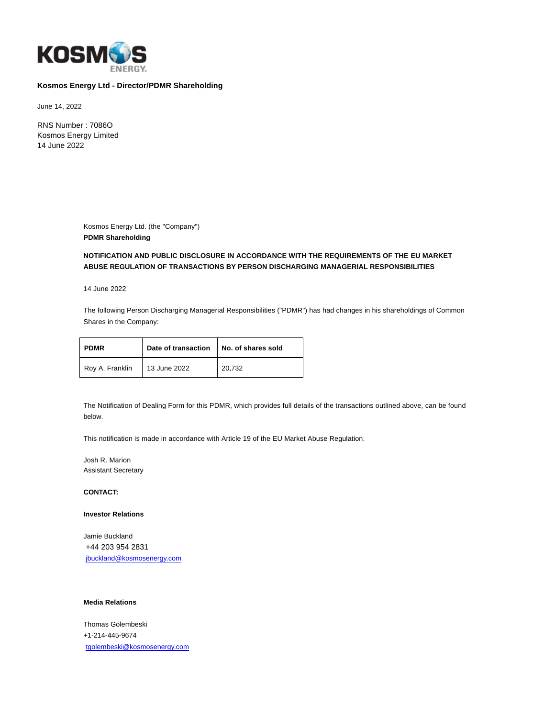

## **Kosmos Energy Ltd - Director/PDMR Shareholding**

June 14, 2022

RNS Number : 7086O Kosmos Energy Limited 14 June 2022

> Kosmos Energy Ltd. (the "Company") **PDMR Shareholding**

# **NOTIFICATION AND PUBLIC DISCLOSURE IN ACCORDANCE WITH THE REQUIREMENTS OF THE EU MARKET ABUSE REGULATION OF TRANSACTIONS BY PERSON DISCHARGING MANAGERIAL RESPONSIBILITIES**

14 June 2022

The following Person Discharging Managerial Responsibilities ("PDMR") has had changes in his shareholdings of Common Shares in the Company:

| <b>PDMR</b>     | Date of transaction | No. of shares sold |
|-----------------|---------------------|--------------------|
| Roy A. Franklin | 13 June 2022        | 20,732             |

The Notification of Dealing Form for this PDMR, which provides full details of the transactions outlined above, can be found below.

This notification is made in accordance with Article 19 of the EU Market Abuse Regulation.

Josh R. Marion Assistant Secretary

### **CONTACT:**

#### **Investor Relations**

Jamie Buckland +44 203 954 2831 [jbuckland@kosmosenergy.com](mailto:jbuckland@kosmosenergy.com)

### **Media Relations**

Thomas Golembeski +1-214-445-9674 [tgolembeski@kosmosenergy.com](mailto:tgolembeski@kosmosenergy.com)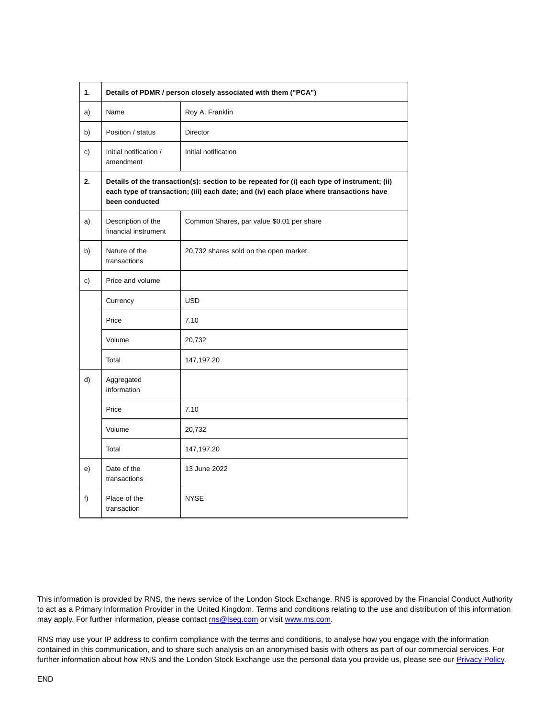| 1. | Details of PDMR / person closely associated with them ("PCA")                                                                                                                                           |                                           |  |
|----|---------------------------------------------------------------------------------------------------------------------------------------------------------------------------------------------------------|-------------------------------------------|--|
| a) | Name                                                                                                                                                                                                    | Roy A. Franklin                           |  |
| b) | Position / status                                                                                                                                                                                       | <b>Director</b>                           |  |
| c) | Initial notification /<br>amendment                                                                                                                                                                     | Initial notification                      |  |
| 2. | Details of the transaction(s): section to be repeated for (i) each type of instrument; (ii)<br>each type of transaction; (iii) each date; and (iv) each place where transactions have<br>been conducted |                                           |  |
| a) | Description of the<br>financial instrument                                                                                                                                                              | Common Shares, par value \$0.01 per share |  |
| b) | Nature of the<br>transactions                                                                                                                                                                           | 20,732 shares sold on the open market.    |  |
| c) | Price and volume                                                                                                                                                                                        |                                           |  |
|    | Currency                                                                                                                                                                                                | <b>USD</b>                                |  |
|    | Price                                                                                                                                                                                                   | 7.10                                      |  |
|    | Volume                                                                                                                                                                                                  | 20,732                                    |  |
|    | Total                                                                                                                                                                                                   | 147,197.20                                |  |
| d) | Aggregated<br>information                                                                                                                                                                               |                                           |  |
|    | Price                                                                                                                                                                                                   | 7.10                                      |  |
|    | Volume                                                                                                                                                                                                  | 20,732                                    |  |
|    | Total                                                                                                                                                                                                   | 147,197.20                                |  |
| e) | Date of the<br>transactions                                                                                                                                                                             | 13 June 2022                              |  |
| f) | Place of the<br>transaction                                                                                                                                                                             | <b>NYSE</b>                               |  |

This information is provided by RNS, the news service of the London Stock Exchange. RNS is approved by the Financial Conduct Authority to act as a Primary Information Provider in the United Kingdom. Terms and conditions relating to the use and distribution of this information may apply. For further information, please contact **rns@lseg.com** or visit [www.rns.com.](http://www.rns.com/)

RNS may use your IP address to confirm compliance with the terms and conditions, to analyse how you engage with the information contained in this communication, and to share such analysis on an anonymised basis with others as part of our commercial services. For further information about how RNS and the London Stock Exchange use the personal data you provide us, please see our [Privacy Policy.](https://www.lseg.com/privacy-and-cookie-policy)